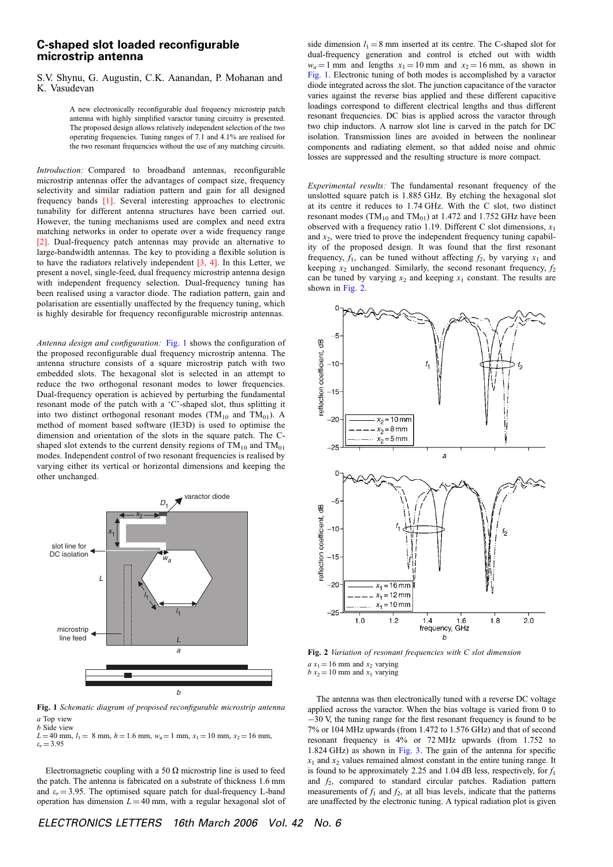## C-shaped slot loaded reconfigurable microstrip antenna

## S.V. Shynu, G. Augustin, C.K. Aanandan, P. Mohanan and K. Vasudevan

A new electronically reconfigurable dual frequency microstrip patch antenna with highly simplified varactor tuning circuitry is presented. The proposed design allows relatively independent selection of the two operating frequencies. Tuning ranges of 7.1 and 4.1% are realised for the two resonant frequencies without the use of any matching circuits.

Introduction: Compared to broadband antennas, reconfigurable microstrip antennas offer the advantages of compact size, frequency selectivity and similar radiation pattern and gain for all designed frequency bands [1]. Several interesting approaches to electronic tunability for different antenna structures have been carried out. However, the tuning mechanisms used are complex and need extra matching networks in order to operate over a wide frequency range [2]. Dual-frequency patch antennas may provide an alternative to large-bandwidth antennas. The key to providing a flexible solution is to have the radiators relatively independent [3, 4]. In this Letter, we present a novel, single-feed, dual frequency microstrip antenna design with independent frequency selection. Dual-frequency tuning has been realised using a varactor diode. The radiation pattern, gain and polarisation are essentially unaffected by the frequency tuning, which is highly desirable for frequency reconfigurable microstrip antennas.

Antenna design and configuration: Fig. 1 shows the configuration of the proposed reconfigurable dual frequency microstrip antenna. The antenna structure consists of a square microstrip patch with two embedded slots. The hexagonal slot is selected in an attempt to reduce the two orthogonal resonant modes to lower frequencies. Dual-frequency operation is achieved by perturbing the fundamental resonant mode of the patch with a 'C'-shaped slot, thus splitting it into two distinct orthogonal resonant modes ( $TM_{10}$  and  $TM_{01}$ ). A method of moment based software (IE3D) is used to optimise the dimension and orientation of the slots in the square patch. The Cshaped slot extends to the current density regions of  $TM_{10}$  and  $TM_{01}$ modes. Independent control of two resonant frequencies is realised by varying either its vertical or horizontal dimensions and keeping the other unchanged.



Fig. 1 Schematic diagram of proposed reconfigurable microstrip antenna a Top view

b Side view  $L = 40$  mm,  $l_1 = 8$  mm,  $h = 1.6$  mm,  $w_a = 1$  mm,  $x_1 = 10$  mm,  $x_2 = 16$  mm,  $\varepsilon_r = 3.95$ 

Electromagnetic coupling with a 50  $\Omega$  microstrip line is used to feed the patch. The antenna is fabricated on a substrate of thickness 1.6 mm and  $\varepsilon_r = 3.95$ . The optimised square patch for dual-frequency L-band operation has dimension  $L = 40$  mm, with a regular hexagonal slot of side dimension  $l_1 = 8$  mm inserted at its centre. The C-shaped slot for dual-frequency generation and control is etched out with width  $w_a = 1$  mm and lengths  $x_1 = 10$  mm and  $x_2 = 16$  mm, as shown in Fig. 1. Electronic tuning of both modes is accomplished by a varactor diode integrated across the slot. The junction capacitance of the varactor varies against the reverse bias applied and these different capacitive loadings correspond to different electrical lengths and thus different resonant frequencies. DC bias is applied across the varactor through two chip inductors. A narrow slot line is carved in the patch for DC isolation. Transmission lines are avoided in between the nonlinear components and radiating element, so that added noise and ohmic losses are suppressed and the resulting structure is more compact.

Experimental results: The fundamental resonant frequency of the unslotted square patch is 1.885 GHz. By etching the hexagonal slot at its centre it reduces to 1.74 GHz. With the C slot, two distinct resonant modes ( $TM_{10}$  and  $TM_{01}$ ) at 1.472 and 1.752 GHz have been observed with a frequency ratio 1.19. Different C slot dimensions,  $x_1$ and  $x<sub>2</sub>$ , were tried to prove the independent frequency tuning capability of the proposed design. It was found that the first resonant frequency,  $f_1$ , can be tuned without affecting  $f_2$ , by varying  $x_1$  and keeping  $x_2$  unchanged. Similarly, the second resonant frequency,  $f_2$ can be tuned by varying  $x_2$  and keeping  $x_1$  constant. The results are shown in Fig. 2.



Fig. 2 Variation of resonant frequencies with C slot dimension  $a x_1 = 16$  mm and  $x_2$  varying  $b x_2 = 10$  mm and  $x_1$  varying

The antenna was then electronically tuned with a reverse DC voltage applied across the varactor. When the bias voltage is varied from 0 to  $-30$  V, the tuning range for the first resonant frequency is found to be 7% or 104 MHz upwards (from 1.472 to 1.576 GHz) and that of second resonant frequency is 4% or 72 MHz upwards (from 1.752 to 1.824 GHz) as shown in Fig. 3. The gain of the antenna for specific  $x_1$  and  $x_2$  values remained almost constant in the entire tuning range. It is found to be approximately 2.25 and 1.04 dB less, respectively, for  $f_1$ and  $f_2$ , compared to standard circular patches. Radiation pattern measurements of  $f_1$  and  $f_2$ , at all bias levels, indicate that the patterns are unaffected by the electronic tuning. A typical radiation plot is given

ELECTRONICS LETTERS 16th March 2006 Vol. 42 No. 6